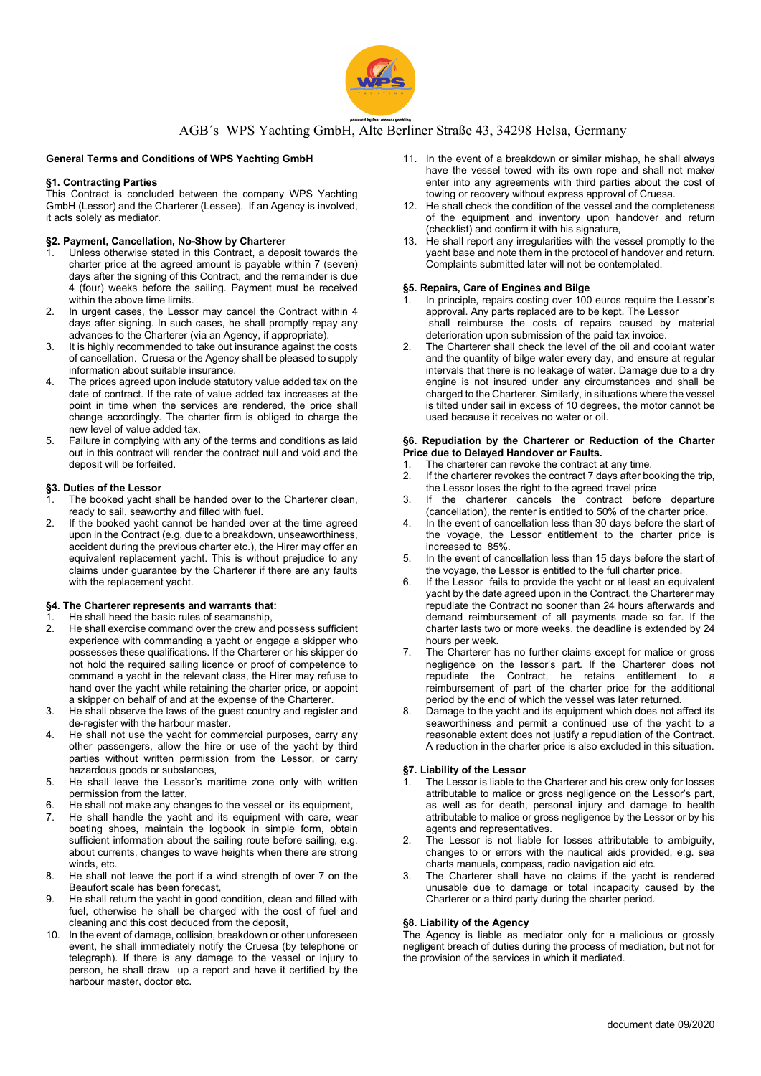

# AGB´s WPS Yachting GmbH, Alte Berliner Straße 43, 34298 Helsa, Germany

# General Terms and Conditions of WPS Yachting GmbH

# §1. Contracting Parties

This Contract is concluded between the company WPS Yachting GmbH (Lessor) and the Charterer (Lessee). If an Agency is involved, it acts solely as mediator.

# §2. Payment, Cancellation, No-Show by Charterer

- Unless otherwise stated in this Contract, a deposit towards the charter price at the agreed amount is payable within 7 (seven) days after the signing of this Contract, and the remainder is due 4 (four) weeks before the sailing. Payment must be received within the above time limits.
- 2. In urgent cases, the Lessor may cancel the Contract within 4 days after signing. In such cases, he shall promptly repay any advances to the Charterer (via an Agency, if appropriate).
- 3. It is highly recommended to take out insurance against the costs of cancellation. Cruesa or the Agency shall be pleased to supply information about suitable insurance.
- 4. The prices agreed upon include statutory value added tax on the date of contract. If the rate of value added tax increases at the point in time when the services are rendered, the price shall change accordingly. The charter firm is obliged to charge the new level of value added tax.
- 5. Failure in complying with any of the terms and conditions as laid out in this contract will render the contract null and void and the deposit will be forfeited.

# §3. Duties of the Lessor

- The booked yacht shall be handed over to the Charterer clean, ready to sail, seaworthy and filled with fuel.
- 2. If the booked yacht cannot be handed over at the time agreed upon in the Contract (e.g. due to a breakdown, unseaworthiness, accident during the previous charter etc.), the Hirer may offer an equivalent replacement yacht. This is without prejudice to any claims under guarantee by the Charterer if there are any faults with the replacement yacht.

## §4. The Charterer represents and warrants that:

- He shall heed the basic rules of seamanship,
- 2. He shall exercise command over the crew and possess sufficient experience with commanding a yacht or engage a skipper who possesses these qualifications. If the Charterer or his skipper do not hold the required sailing licence or proof of competence to command a yacht in the relevant class, the Hirer may refuse to hand over the yacht while retaining the charter price, or appoint a skipper on behalf of and at the expense of the Charterer.
- 3. He shall observe the laws of the guest country and register and de-register with the harbour master.
- He shall not use the yacht for commercial purposes, carry any other passengers, allow the hire or use of the yacht by third parties without written permission from the Lessor, or carry hazardous goods or substances,
- 5. He shall leave the Lessor's maritime zone only with written permission from the latter
- 6. He shall not make any changes to the vessel or its equipment,
- 7. He shall handle the yacht and its equipment with care, wear boating shoes, maintain the logbook in simple form, obtain sufficient information about the sailing route before sailing, e.g. about currents, changes to wave heights when there are strong winds, etc.
- 8. He shall not leave the port if a wind strength of over 7 on the Beaufort scale has been forecast,
- 9. He shall return the yacht in good condition, clean and filled with fuel, otherwise he shall be charged with the cost of fuel and cleaning and this cost deduced from the deposit,
- 10. In the event of damage, collision, breakdown or other unforeseen event, he shall immediately notify the Cruesa (by telephone or telegraph). If there is any damage to the vessel or injury to person, he shall draw up a report and have it certified by the harbour master, doctor etc.
- 11. In the event of a breakdown or similar mishap, he shall always have the vessel towed with its own rope and shall not make/ enter into any agreements with third parties about the cost of towing or recovery without express approval of Cruesa.
- 12. He shall check the condition of the vessel and the completeness of the equipment and inventory upon handover and return (checklist) and confirm it with his signature,
- 13. He shall report any irregularities with the vessel promptly to the yacht base and note them in the protocol of handover and return. Complaints submitted later will not be contemplated.

# §5. Repairs, Care of Engines and Bilge

- In principle, repairs costing over 100 euros require the Lessor's approval. Any parts replaced are to be kept. The Lessor shall reimburse the costs of repairs caused by material deterioration upon submission of the paid tax invoice.
- 2. The Charterer shall check the level of the oil and coolant water and the quantity of bilge water every day, and ensure at regular intervals that there is no leakage of water. Damage due to a dry engine is not insured under any circumstances and shall be charged to the Charterer. Similarly, in situations where the vessel is tilted under sail in excess of 10 degrees, the motor cannot be used because it receives no water or oil.

#### §6. Repudiation by the Charterer or Reduction of the Charter Price due to Delayed Handover or Faults.

- 1. The charterer can revoke the contract at any time.
- 2. If the charterer revokes the contract 7 days after booking the trip, the Lessor loses the right to the agreed travel price
- 3. If the charterer cancels the contract before departure (cancellation), the renter is entitled to 50% of the charter price.
- In the event of cancellation less than 30 days before the start of the voyage, the Lessor entitlement to the charter price is increased to 85%.
- 5. In the event of cancellation less than 15 days before the start of the voyage, the Lessor is entitled to the full charter price.
- 6. If the Lessor fails to provide the yacht or at least an equivalent yacht by the date agreed upon in the Contract, the Charterer may repudiate the Contract no sooner than 24 hours afterwards and demand reimbursement of all payments made so far. If the charter lasts two or more weeks, the deadline is extended by 24 hours per week.
- The Charterer has no further claims except for malice or gross negligence on the lessor's part. If the Charterer does not repudiate the Contract, he retains entitlement to a reimbursement of part of the charter price for the additional period by the end of which the vessel was later returned.
- 8. Damage to the yacht and its equipment which does not affect its seaworthiness and permit a continued use of the yacht to a reasonable extent does not justify a repudiation of the Contract. A reduction in the charter price is also excluded in this situation.

# §7. Liability of the Lessor

- The Lessor is liable to the Charterer and his crew only for losses attributable to malice or gross negligence on the Lessor's part, as well as for death, personal injury and damage to health attributable to malice or gross negligence by the Lessor or by his agents and representatives.
- 2. The Lessor is not liable for losses attributable to ambiguity, changes to or errors with the nautical aids provided, e.g. sea charts manuals, compass, radio navigation aid etc.
- 3. The Charterer shall have no claims if the yacht is rendered unusable due to damage or total incapacity caused by the Charterer or a third party during the charter period.

## §8. Liability of the Agency

The Agency is liable as mediator only for a malicious or grossly negligent breach of duties during the process of mediation, but not for the provision of the services in which it mediated.